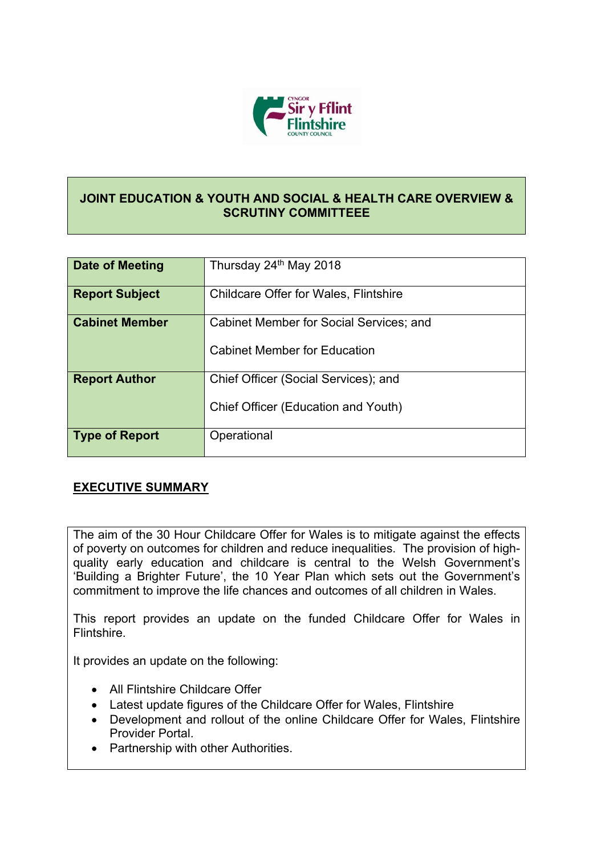

## **JOINT EDUCATION & YOUTH AND SOCIAL & HEALTH CARE OVERVIEW & SCRUTINY COMMITTEEE**

| Date of Meeting       | Thursday 24th May 2018                                                                |
|-----------------------|---------------------------------------------------------------------------------------|
| <b>Report Subject</b> | <b>Childcare Offer for Wales, Flintshire</b>                                          |
| <b>Cabinet Member</b> | <b>Cabinet Member for Social Services; and</b><br><b>Cabinet Member for Education</b> |
| <b>Report Author</b>  | Chief Officer (Social Services); and<br>Chief Officer (Education and Youth)           |
| <b>Type of Report</b> | Operational                                                                           |

## **EXECUTIVE SUMMARY**

The aim of the 30 Hour Childcare Offer for Wales is to mitigate against the effects of poverty on outcomes for children and reduce inequalities. The provision of highquality early education and childcare is central to the Welsh Government's 'Building a Brighter Future', the 10 Year Plan which sets out the Government's commitment to improve the life chances and outcomes of all children in Wales.

This report provides an update on the funded Childcare Offer for Wales in Flintshire.

It provides an update on the following:

- All Flintshire Childcare Offer
- Latest update figures of the Childcare Offer for Wales, Flintshire
- Development and rollout of the online Childcare Offer for Wales, Flintshire Provider Portal.
- Partnership with other Authorities.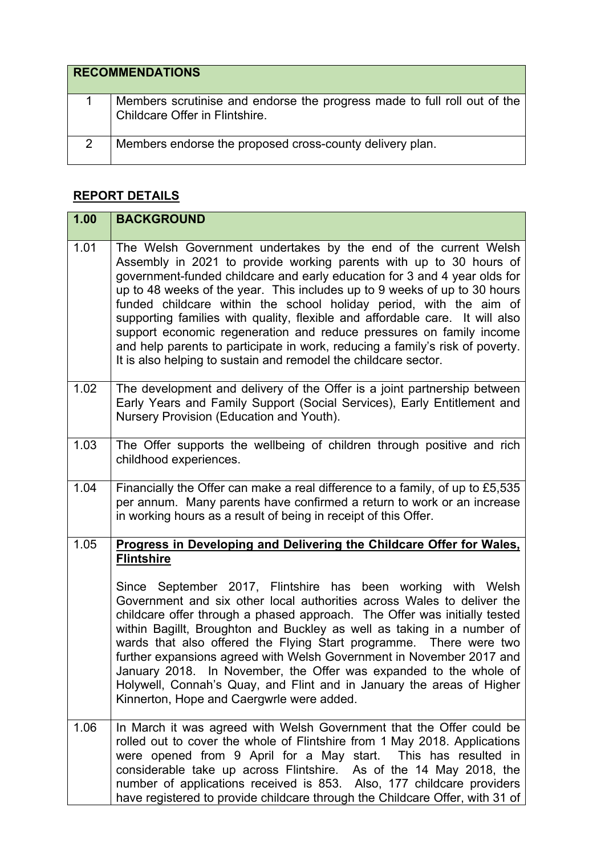| <b>RECOMMENDATIONS</b> |                                                                                                            |  |
|------------------------|------------------------------------------------------------------------------------------------------------|--|
|                        | Members scrutinise and endorse the progress made to full roll out of the<br>Childcare Offer in Flintshire. |  |
|                        | Members endorse the proposed cross-county delivery plan.                                                   |  |

## **REPORT DETAILS**

| 1.00 | <b>BACKGROUND</b>                                                                                                                                                                                                                                                                                                                                                                                                                                                                                                                                                                                                                                                                                                                   |
|------|-------------------------------------------------------------------------------------------------------------------------------------------------------------------------------------------------------------------------------------------------------------------------------------------------------------------------------------------------------------------------------------------------------------------------------------------------------------------------------------------------------------------------------------------------------------------------------------------------------------------------------------------------------------------------------------------------------------------------------------|
| 1.01 | The Welsh Government undertakes by the end of the current Welsh<br>Assembly in 2021 to provide working parents with up to 30 hours of<br>government-funded childcare and early education for 3 and 4 year olds for<br>up to 48 weeks of the year. This includes up to 9 weeks of up to 30 hours<br>funded childcare within the school holiday period, with the aim of<br>supporting families with quality, flexible and affordable care. It will also<br>support economic regeneration and reduce pressures on family income<br>and help parents to participate in work, reducing a family's risk of poverty.<br>It is also helping to sustain and remodel the childcare sector.                                                    |
| 1.02 | The development and delivery of the Offer is a joint partnership between<br>Early Years and Family Support (Social Services), Early Entitlement and<br>Nursery Provision (Education and Youth).                                                                                                                                                                                                                                                                                                                                                                                                                                                                                                                                     |
| 1.03 | The Offer supports the wellbeing of children through positive and rich<br>childhood experiences.                                                                                                                                                                                                                                                                                                                                                                                                                                                                                                                                                                                                                                    |
| 1.04 | Financially the Offer can make a real difference to a family, of up to £5,535<br>per annum. Many parents have confirmed a return to work or an increase<br>in working hours as a result of being in receipt of this Offer.                                                                                                                                                                                                                                                                                                                                                                                                                                                                                                          |
| 1.05 | Progress in Developing and Delivering the Childcare Offer for Wales,<br><b>Flintshire</b><br>Since September 2017, Flintshire has been working with Welsh<br>Government and six other local authorities across Wales to deliver the<br>childcare offer through a phased approach. The Offer was initially tested<br>within Bagillt, Broughton and Buckley as well as taking in a number of<br>wards that also offered the Flying Start programme. There were two<br>further expansions agreed with Welsh Government in November 2017 and<br>January 2018. In November, the Offer was expanded to the whole of<br>Holywell, Connah's Quay, and Flint and in January the areas of Higher<br>Kinnerton, Hope and Caergwrle were added. |
| 1.06 | In March it was agreed with Welsh Government that the Offer could be<br>rolled out to cover the whole of Flintshire from 1 May 2018. Applications<br>were opened from 9 April for a May start. This has resulted in<br>considerable take up across Flintshire. As of the 14 May 2018, the<br>number of applications received is 853. Also, 177 childcare providers<br>have registered to provide childcare through the Childcare Offer, with 31 of                                                                                                                                                                                                                                                                                  |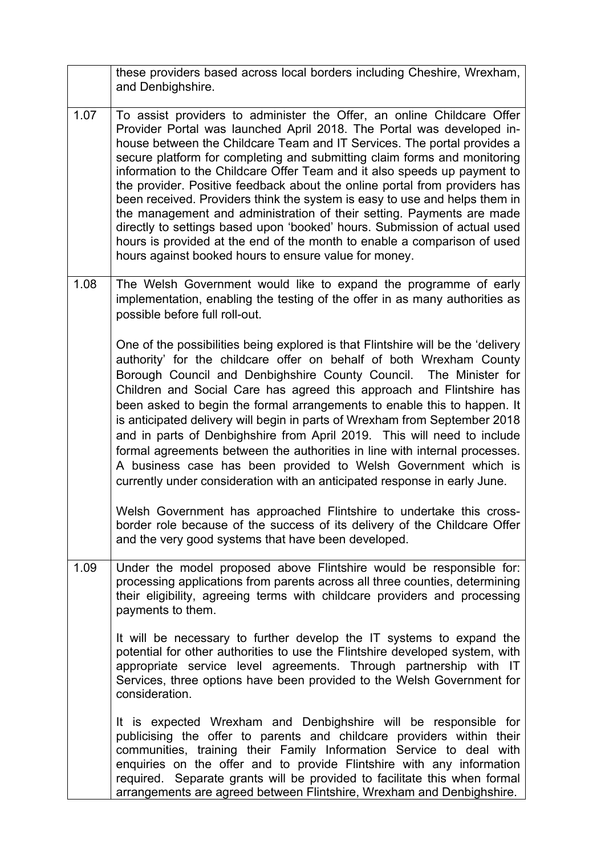|      | these providers based across local borders including Cheshire, Wrexham,<br>and Denbighshire.                                                                                                                                                                                                                                                                                                                                                                                                                                                                                                                                                                                                                                                                                                                                              |
|------|-------------------------------------------------------------------------------------------------------------------------------------------------------------------------------------------------------------------------------------------------------------------------------------------------------------------------------------------------------------------------------------------------------------------------------------------------------------------------------------------------------------------------------------------------------------------------------------------------------------------------------------------------------------------------------------------------------------------------------------------------------------------------------------------------------------------------------------------|
| 1.07 | To assist providers to administer the Offer, an online Childcare Offer<br>Provider Portal was launched April 2018. The Portal was developed in-<br>house between the Childcare Team and IT Services. The portal provides a<br>secure platform for completing and submitting claim forms and monitoring<br>information to the Childcare Offer Team and it also speeds up payment to<br>the provider. Positive feedback about the online portal from providers has<br>been received. Providers think the system is easy to use and helps them in<br>the management and administration of their setting. Payments are made<br>directly to settings based upon 'booked' hours. Submission of actual used<br>hours is provided at the end of the month to enable a comparison of used<br>hours against booked hours to ensure value for money. |
| 1.08 | The Welsh Government would like to expand the programme of early<br>implementation, enabling the testing of the offer in as many authorities as<br>possible before full roll-out.                                                                                                                                                                                                                                                                                                                                                                                                                                                                                                                                                                                                                                                         |
|      | One of the possibilities being explored is that Flintshire will be the 'delivery<br>authority' for the childcare offer on behalf of both Wrexham County<br>Borough Council and Denbighshire County Council. The Minister for<br>Children and Social Care has agreed this approach and Flintshire has<br>been asked to begin the formal arrangements to enable this to happen. It<br>is anticipated delivery will begin in parts of Wrexham from September 2018<br>and in parts of Denbighshire from April 2019. This will need to include<br>formal agreements between the authorities in line with internal processes.<br>A business case has been provided to Welsh Government which is<br>currently under consideration with an anticipated response in early June.                                                                    |
|      | Welsh Government has approached Flintshire to undertake this cross-<br>border role because of the success of its delivery of the Childcare Offer<br>and the very good systems that have been developed.                                                                                                                                                                                                                                                                                                                                                                                                                                                                                                                                                                                                                                   |
| 1.09 | Under the model proposed above Flintshire would be responsible for:<br>processing applications from parents across all three counties, determining<br>their eligibility, agreeing terms with childcare providers and processing<br>payments to them.                                                                                                                                                                                                                                                                                                                                                                                                                                                                                                                                                                                      |
|      | It will be necessary to further develop the IT systems to expand the<br>potential for other authorities to use the Flintshire developed system, with<br>appropriate service level agreements. Through partnership with IT<br>Services, three options have been provided to the Welsh Government for<br>consideration.                                                                                                                                                                                                                                                                                                                                                                                                                                                                                                                     |
|      | It is expected Wrexham and Denbighshire will be responsible for<br>publicising the offer to parents and childcare providers within their<br>communities, training their Family Information Service to deal with<br>enquiries on the offer and to provide Flintshire with any information<br>required. Separate grants will be provided to facilitate this when formal<br>arrangements are agreed between Flintshire, Wrexham and Denbighshire.                                                                                                                                                                                                                                                                                                                                                                                            |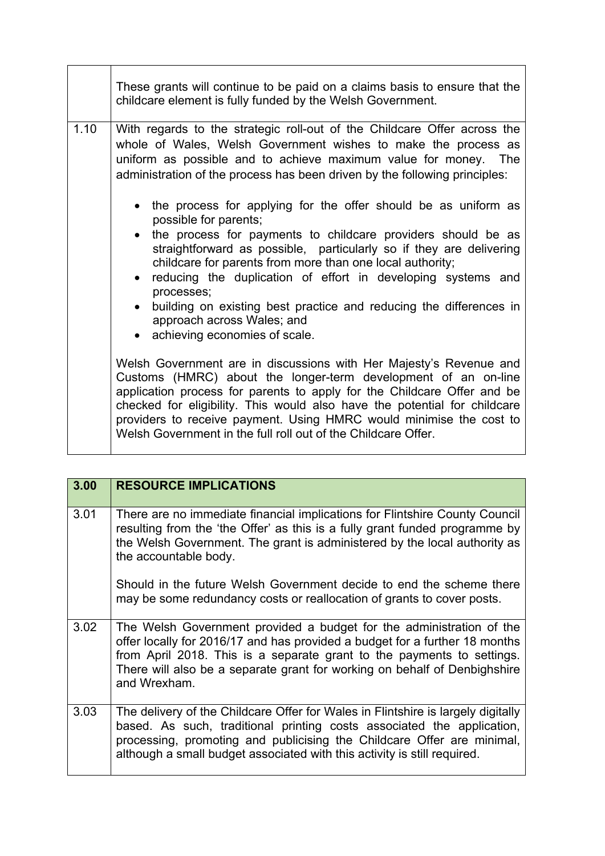|      | These grants will continue to be paid on a claims basis to ensure that the<br>childcare element is fully funded by the Welsh Government.                                                                                                                                                                                                                                                                                                                                                                             |  |
|------|----------------------------------------------------------------------------------------------------------------------------------------------------------------------------------------------------------------------------------------------------------------------------------------------------------------------------------------------------------------------------------------------------------------------------------------------------------------------------------------------------------------------|--|
| 1.10 | With regards to the strategic roll-out of the Childcare Offer across the<br>whole of Wales, Welsh Government wishes to make the process as<br>uniform as possible and to achieve maximum value for money. The<br>administration of the process has been driven by the following principles:                                                                                                                                                                                                                          |  |
|      | • the process for applying for the offer should be as uniform as<br>possible for parents;<br>the process for payments to childcare providers should be as<br>straightforward as possible, particularly so if they are delivering<br>childcare for parents from more than one local authority;<br>• reducing the duplication of effort in developing systems and<br>processes;<br>building on existing best practice and reducing the differences in<br>approach across Wales; and<br>• achieving economies of scale. |  |
|      | Welsh Government are in discussions with Her Majesty's Revenue and<br>Customs (HMRC) about the longer-term development of an on-line<br>application process for parents to apply for the Childcare Offer and be<br>checked for eligibility. This would also have the potential for childcare<br>providers to receive payment. Using HMRC would minimise the cost to<br>Welsh Government in the full roll out of the Childcare Offer.                                                                                 |  |

| 3.00 | <b>RESOURCE IMPLICATIONS</b>                                                                                                                                                                                                                                                                                               |
|------|----------------------------------------------------------------------------------------------------------------------------------------------------------------------------------------------------------------------------------------------------------------------------------------------------------------------------|
| 3.01 | There are no immediate financial implications for Flintshire County Council<br>resulting from the 'the Offer' as this is a fully grant funded programme by<br>the Welsh Government. The grant is administered by the local authority as<br>the accountable body.                                                           |
|      | Should in the future Welsh Government decide to end the scheme there<br>may be some redundancy costs or reallocation of grants to cover posts.                                                                                                                                                                             |
| 3.02 | The Welsh Government provided a budget for the administration of the<br>offer locally for 2016/17 and has provided a budget for a further 18 months<br>from April 2018. This is a separate grant to the payments to settings.<br>There will also be a separate grant for working on behalf of Denbighshire<br>and Wrexham. |
| 3.03 | The delivery of the Childcare Offer for Wales in Flintshire is largely digitally<br>based. As such, traditional printing costs associated the application,<br>processing, promoting and publicising the Childcare Offer are minimal,<br>although a small budget associated with this activity is still required.           |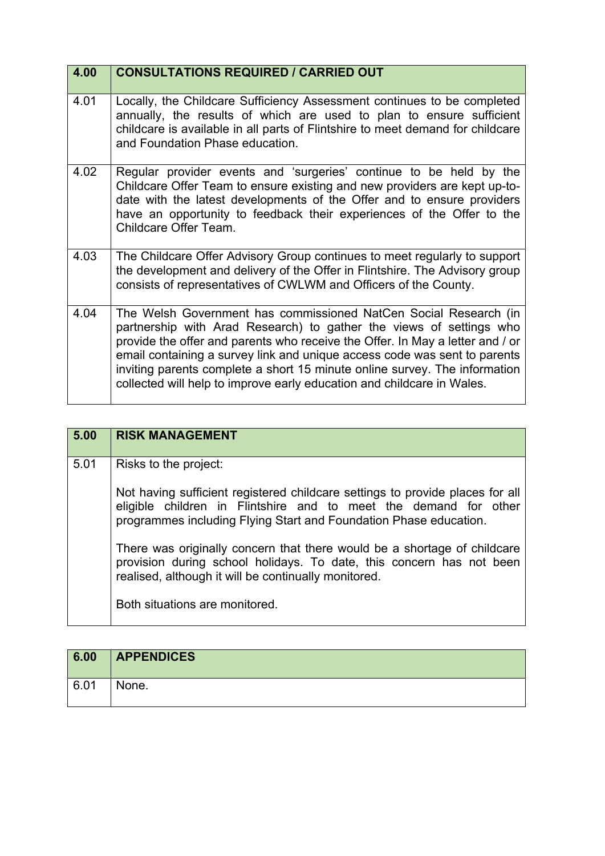| 4.00 | <b>CONSULTATIONS REQUIRED / CARRIED OUT</b>                                                                                                                                                                                                                                                                                                                                                                                                                   |
|------|---------------------------------------------------------------------------------------------------------------------------------------------------------------------------------------------------------------------------------------------------------------------------------------------------------------------------------------------------------------------------------------------------------------------------------------------------------------|
| 4.01 | Locally, the Childcare Sufficiency Assessment continues to be completed<br>annually, the results of which are used to plan to ensure sufficient<br>childcare is available in all parts of Flintshire to meet demand for childcare<br>and Foundation Phase education.                                                                                                                                                                                          |
| 4.02 | Regular provider events and 'surgeries' continue to be held by the<br>Childcare Offer Team to ensure existing and new providers are kept up-to-<br>date with the latest developments of the Offer and to ensure providers<br>have an opportunity to feedback their experiences of the Offer to the<br>Childcare Offer Team.                                                                                                                                   |
| 4.03 | The Childcare Offer Advisory Group continues to meet regularly to support<br>the development and delivery of the Offer in Flintshire. The Advisory group<br>consists of representatives of CWLWM and Officers of the County.                                                                                                                                                                                                                                  |
| 4.04 | The Welsh Government has commissioned NatCen Social Research (in<br>partnership with Arad Research) to gather the views of settings who<br>provide the offer and parents who receive the Offer. In May a letter and / or<br>email containing a survey link and unique access code was sent to parents<br>inviting parents complete a short 15 minute online survey. The information<br>collected will help to improve early education and childcare in Wales. |

| 5.00 | <b>RISK MANAGEMENT</b>                                                                                                                                                                                                                          |
|------|-------------------------------------------------------------------------------------------------------------------------------------------------------------------------------------------------------------------------------------------------|
| 5.01 | Risks to the project:<br>Not having sufficient registered childcare settings to provide places for all<br>eligible children in Flintshire and to meet the demand for other<br>programmes including Flying Start and Foundation Phase education. |
|      | There was originally concern that there would be a shortage of childcare<br>provision during school holidays. To date, this concern has not been<br>realised, although it will be continually monitored.<br>Both situations are monitored.      |

| 6.00 | <b>APPENDICES</b> |
|------|-------------------|
| 6.01 | None.             |